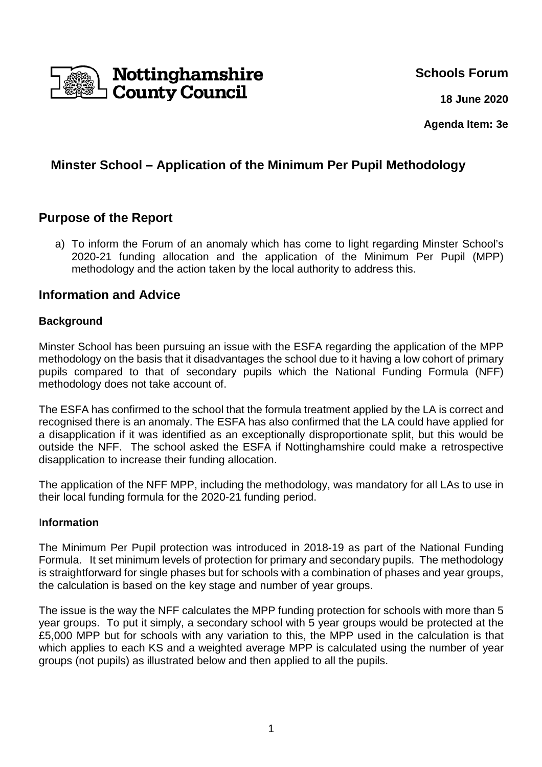

# **Schools Forum**

**18 June 2020**

**Agenda Item: 3e** 

# **Minster School – Application of the Minimum Per Pupil Methodology**

# **Purpose of the Report**

a) To inform the Forum of an anomaly which has come to light regarding Minster School's 2020-21 funding allocation and the application of the Minimum Per Pupil (MPP) methodology and the action taken by the local authority to address this.

# **Information and Advice**

### **Background**

Minster School has been pursuing an issue with the ESFA regarding the application of the MPP methodology on the basis that it disadvantages the school due to it having a low cohort of primary pupils compared to that of secondary pupils which the National Funding Formula (NFF) methodology does not take account of.

The ESFA has confirmed to the school that the formula treatment applied by the LA is correct and recognised there is an anomaly. The ESFA has also confirmed that the LA could have applied for a disapplication if it was identified as an exceptionally disproportionate split, but this would be outside the NFF. The school asked the ESFA if Nottinghamshire could make a retrospective disapplication to increase their funding allocation.

The application of the NFF MPP, including the methodology, was mandatory for all LAs to use in their local funding formula for the 2020-21 funding period.

### I**nformation**

The Minimum Per Pupil protection was introduced in 2018-19 as part of the National Funding Formula. It set minimum levels of protection for primary and secondary pupils. The methodology is straightforward for single phases but for schools with a combination of phases and year groups, the calculation is based on the key stage and number of year groups.

The issue is the way the NFF calculates the MPP funding protection for schools with more than 5 year groups. To put it simply, a secondary school with 5 year groups would be protected at the £5,000 MPP but for schools with any variation to this, the MPP used in the calculation is that which applies to each KS and a weighted average MPP is calculated using the number of year groups (not pupils) as illustrated below and then applied to all the pupils.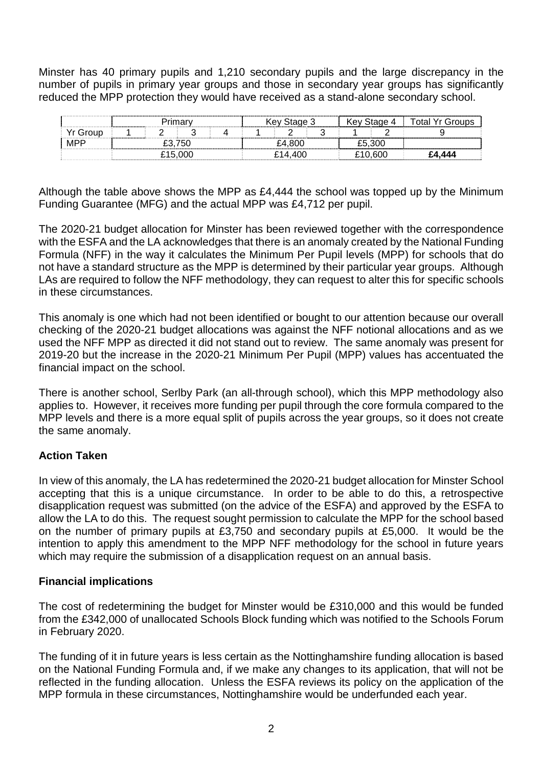Minster has 40 primary pupils and 1,210 secondary pupils and the large discrepancy in the number of pupils in primary year groups and those in secondary year groups has significantly reduced the MPP protection they would have received as a stand-alone secondary school.

|       | 'rimarv<br> |  |  |  |  |  |  | / Stage ?<br>Kev |  |  |   |  | Kev | . ח∩י | ั∩tal Yr |
|-------|-------------|--|--|--|--|--|--|------------------|--|--|---|--|-----|-------|----------|
| Group |             |  |  |  |  |  |  |                  |  |  | ∽ |  |     |       |          |
| MPF   | .750        |  |  |  |  |  |  | £4.80C           |  |  |   |  |     | ാററ   |          |
|       | £15.000     |  |  |  |  |  |  | ി⊿ ∆∩ി           |  |  |   |  |     |       | 44A      |

Although the table above shows the MPP as £4,444 the school was topped up by the Minimum Funding Guarantee (MFG) and the actual MPP was £4,712 per pupil.

The 2020-21 budget allocation for Minster has been reviewed together with the correspondence with the ESFA and the LA acknowledges that there is an anomaly created by the National Funding Formula (NFF) in the way it calculates the Minimum Per Pupil levels (MPP) for schools that do not have a standard structure as the MPP is determined by their particular year groups. Although LAs are required to follow the NFF methodology, they can request to alter this for specific schools in these circumstances.

This anomaly is one which had not been identified or bought to our attention because our overall checking of the 2020-21 budget allocations was against the NFF notional allocations and as we used the NFF MPP as directed it did not stand out to review. The same anomaly was present for 2019-20 but the increase in the 2020-21 Minimum Per Pupil (MPP) values has accentuated the financial impact on the school.

There is another school, Serlby Park (an all-through school), which this MPP methodology also applies to. However, it receives more funding per pupil through the core formula compared to the MPP levels and there is a more equal split of pupils across the year groups, so it does not create the same anomaly.

## **Action Taken**

In view of this anomaly, the LA has redetermined the 2020-21 budget allocation for Minster School accepting that this is a unique circumstance. In order to be able to do this, a retrospective disapplication request was submitted (on the advice of the ESFA) and approved by the ESFA to allow the LA to do this. The request sought permission to calculate the MPP for the school based on the number of primary pupils at £3,750 and secondary pupils at £5,000. It would be the intention to apply this amendment to the MPP NFF methodology for the school in future years which may require the submission of a disapplication request on an annual basis.

### **Financial implications**

The cost of redetermining the budget for Minster would be £310,000 and this would be funded from the £342,000 of unallocated Schools Block funding which was notified to the Schools Forum in February 2020.

The funding of it in future years is less certain as the Nottinghamshire funding allocation is based on the National Funding Formula and, if we make any changes to its application, that will not be reflected in the funding allocation. Unless the ESFA reviews its policy on the application of the MPP formula in these circumstances, Nottinghamshire would be underfunded each year.